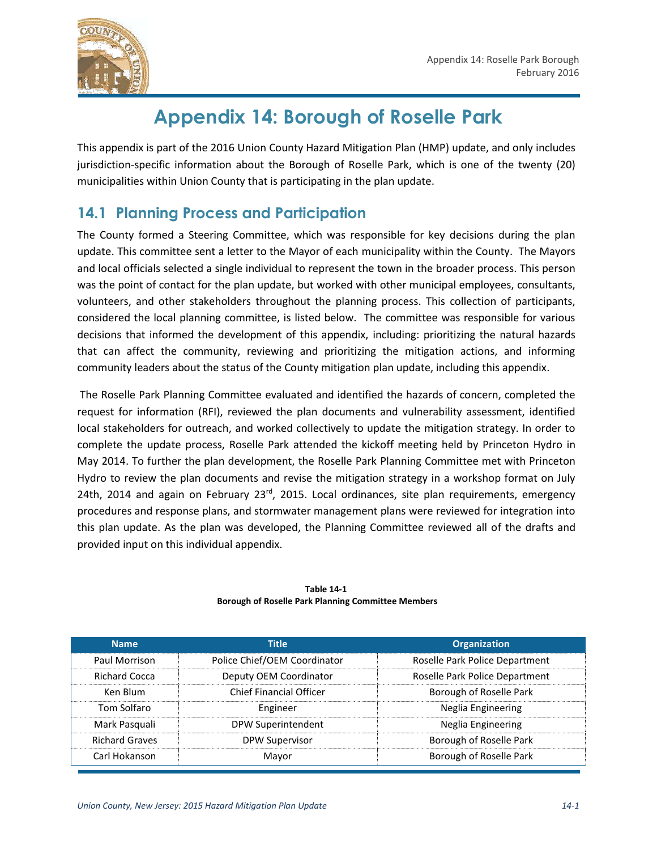

# **Appendix 14: Borough of Roselle Park**

This appendix is part of the 2016 Union County Hazard Mitigation Plan (HMP) update, and only includes jurisdiction-specific information about the Borough of Roselle Park, which is one of the twenty (20) municipalities within Union County that is participating in the plan update.

# **14.1 Planning Process and Participation**

The County formed a Steering Committee, which was responsible for key decisions during the plan update. This committee sent a letter to the Mayor of each municipality within the County. The Mayors and local officials selected a single individual to represent the town in the broader process. This person was the point of contact for the plan update, but worked with other municipal employees, consultants, volunteers, and other stakeholders throughout the planning process. This collection of participants, considered the local planning committee, is listed below. The committee was responsible for various decisions that informed the development of this appendix, including: prioritizing the natural hazards that can affect the community, reviewing and prioritizing the mitigation actions, and informing community leaders about the status of the County mitigation plan update, including this appendix.

The Roselle Park Planning Committee evaluated and identified the hazards of concern, completed the request for information (RFI), reviewed the plan documents and vulnerability assessment, identified local stakeholders for outreach, and worked collectively to update the mitigation strategy. In order to complete the update process, Roselle Park attended the kickoff meeting held by Princeton Hydro in May 2014. To further the plan development, the Roselle Park Planning Committee met with Princeton Hydro to review the plan documents and revise the mitigation strategy in a workshop format on July 24th, 2014 and again on February  $23<sup>rd</sup>$ , 2015. Local ordinances, site plan requirements, emergency procedures and response plans, and stormwater management plans were reviewed for integration into this plan update. As the plan was developed, the Planning Committee reviewed all of the drafts and provided input on this individual appendix.

| <b>Name</b>           | <b>Title</b>                   | <b>Organization</b>            |
|-----------------------|--------------------------------|--------------------------------|
| Paul Morrison         | Police Chief/OEM Coordinator   | Roselle Park Police Department |
| <b>Richard Cocca</b>  | Deputy OEM Coordinator         | Roselle Park Police Department |
| Ken Blum              | <b>Chief Financial Officer</b> | Borough of Roselle Park        |
| Tom Solfaro           | Engineer                       | Neglia Engineering             |
| Mark Pasquali         | DPW Superintendent             | Neglia Engineering             |
| <b>Richard Graves</b> | <b>DPW Supervisor</b>          | Borough of Roselle Park        |
| Carl Hokanson         | Mayor                          | Borough of Roselle Park        |

#### **Table 14-1 Borough of Roselle Park Planning Committee Members**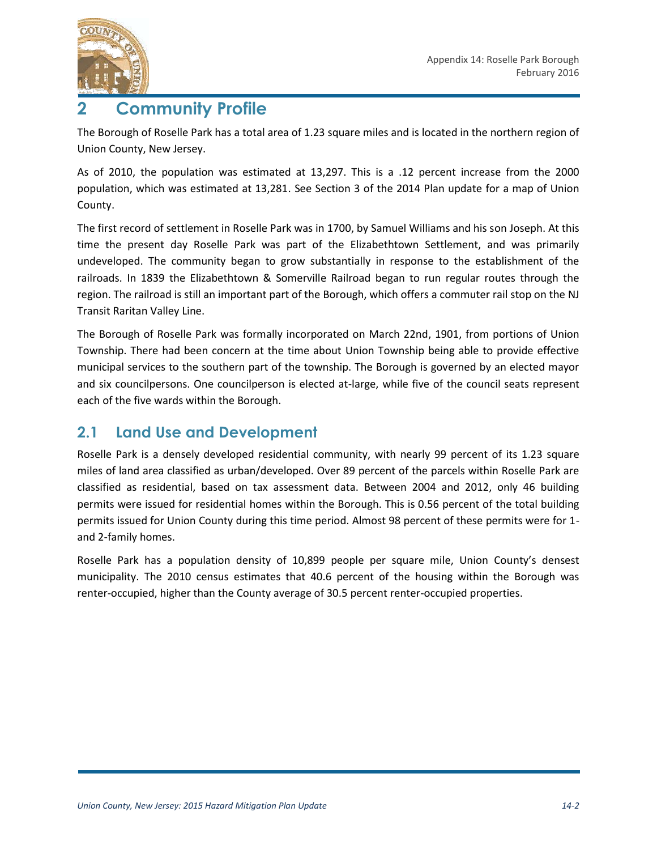

# **2 Community Profile**

The Borough of Roselle Park has a total area of 1.23 square miles and is located in the northern region of Union County, New Jersey.

As of 2010, the population was estimated at 13,297. This is a .12 percent increase from the 2000 population, which was estimated at 13,281. See Section 3 of the 2014 Plan update for a map of Union County.

The first record of settlement in Roselle Park was in 1700, by Samuel Williams and his son Joseph. At this time the present day Roselle Park was part of the Elizabethtown Settlement, and was primarily undeveloped. The community began to grow substantially in response to the establishment of the railroads. In 1839 the Elizabethtown & Somerville Railroad began to run regular routes through the region. The railroad is still an important part of the Borough, which offers a commuter rail stop on the NJ Transit Raritan Valley Line.

The Borough of Roselle Park was formally incorporated on March 22nd, 1901, from portions of Union Township. There had been concern at the time about Union Township being able to provide effective municipal services to the southern part of the township. The Borough is governed by an elected mayor and six councilpersons. One councilperson is elected at-large, while five of the council seats represent each of the five wards within the Borough.

### **2.1 Land Use and Development**

Roselle Park is a densely developed residential community, with nearly 99 percent of its 1.23 square miles of land area classified as urban/developed. Over 89 percent of the parcels within Roselle Park are classified as residential, based on tax assessment data. Between 2004 and 2012, only 46 building permits were issued for residential homes within the Borough. This is 0.56 percent of the total building permits issued for Union County during this time period. Almost 98 percent of these permits were for 1 and 2-family homes.

Roselle Park has a population density of 10,899 people per square mile, Union County's densest municipality. The 2010 census estimates that 40.6 percent of the housing within the Borough was renter-occupied, higher than the County average of 30.5 percent renter-occupied properties.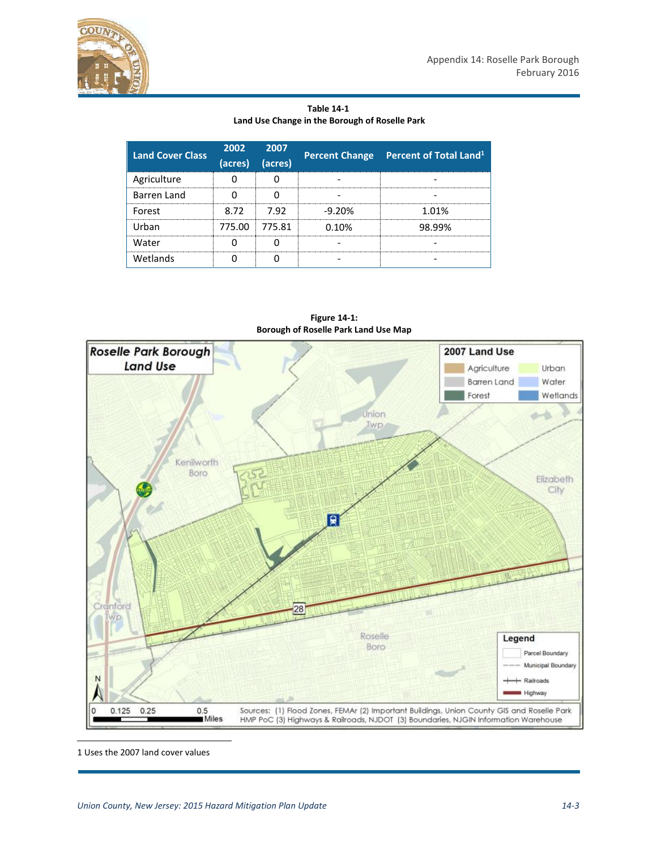

**Table 14-1 Land Use Change in the Borough of Roselle Park**

| <b>Land Cover Class</b> | (acres) | 2002 2007<br>(acres) |          | Percent Change Percent of Total Land <sup>1</sup> |
|-------------------------|---------|----------------------|----------|---------------------------------------------------|
| Agriculture             |         |                      |          |                                                   |
| Barren Land             |         |                      |          |                                                   |
| Forest                  | 8.72    | 7.92                 | $-9.20%$ | 1.01%                                             |
| Urban                   |         | 775.00 775.81        | 0.10%    | 98.99%                                            |
| Water                   |         |                      |          |                                                   |
| Wetlands                |         |                      |          |                                                   |



**Figure 14-1: Borough of Roselle Park Land Use Map**

1 Uses the 2007 land cover values

l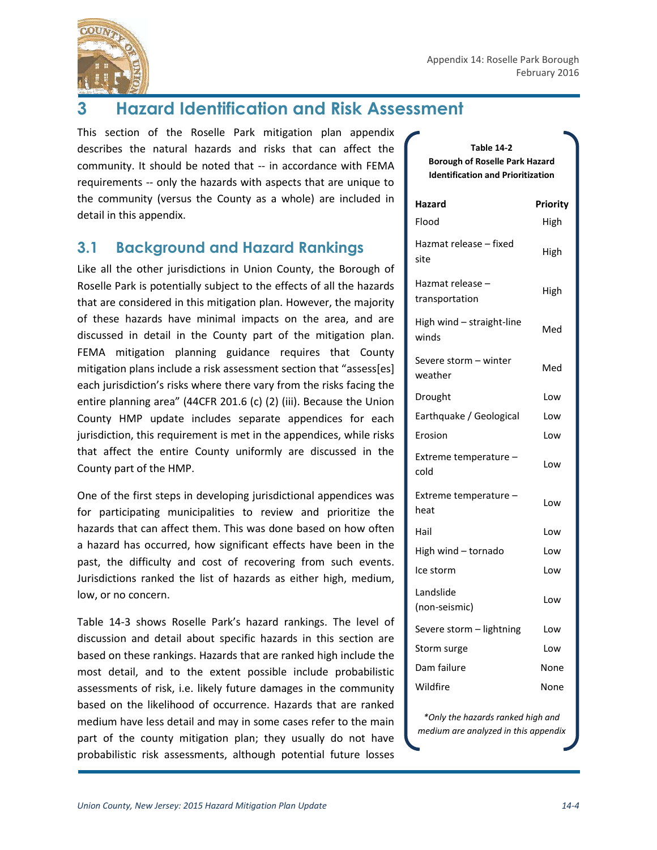

# **3 Hazard Identification and Risk Assessment**

This section of the Roselle Park mitigation plan appendix describes the natural hazards and risks that can affect the community. It should be noted that -- in accordance with FEMA requirements -- only the hazards with aspects that are unique to the community (versus the County as a whole) are included in detail in this appendix.

## **3.1 Background and Hazard Rankings**

Like all the other jurisdictions in Union County, the Borough of Roselle Park is potentially subject to the effects of all the hazards that are considered in this mitigation plan. However, the majority of these hazards have minimal impacts on the area, and are discussed in detail in the County part of the mitigation plan. FEMA mitigation planning guidance requires that County mitigation plans include a risk assessment section that "assess[es] each jurisdiction's risks where there vary from the risks facing the entire planning area" (44CFR 201.6 (c) (2) (iii). Because the Union County HMP update includes separate appendices for each jurisdiction, this requirement is met in the appendices, while risks that affect the entire County uniformly are discussed in the County part of the HMP.

One of the first steps in developing jurisdictional appendices was for participating municipalities to review and prioritize the hazards that can affect them. This was done based on how often a hazard has occurred, how significant effects have been in the past, the difficulty and cost of recovering from such events. Jurisdictions ranked the list of hazards as either high, medium, low, or no concern.

Table 14-3 shows Roselle Park's hazard rankings. The level of discussion and detail about specific hazards in this section are based on these rankings. Hazards that are ranked high include the most detail, and to the extent possible include probabilistic assessments of risk, i.e. likely future damages in the community based on the likelihood of occurrence. Hazards that are ranked medium have less detail and may in some cases refer to the main part of the county mitigation plan; they usually do not have probabilistic risk assessments, although potential future losses

#### **Table 14-2 Borough of Roselle Park Hazard Identification and Prioritization**

| Hazard<br>Flood                    | Priority<br>High |
|------------------------------------|------------------|
| Hazmat release – fixed<br>site     | High             |
| Hazmat release -<br>transportation | High             |
| High wind - straight-line<br>winds | Med              |
| Severe storm - winter<br>weather   | Med              |
| Drought                            | Low              |
| Earthquake / Geological            | Low              |
| Erosion                            | Low              |
| Extreme temperature -<br>cold      | Low              |
| Extreme temperature -<br>heat      | Low              |
| Hail                               | Low              |
| High wind - tornado                | Low              |
| Ice storm                          | Low              |
| Landslide<br>(non-seismic)         | Low              |
| Severe storm - lightning           | Low              |
| Storm surge                        | Low              |
| Dam failure                        | None             |
| Wildfire                           | None             |

*\*Only the hazards ranked high and medium are analyzed in this appendix*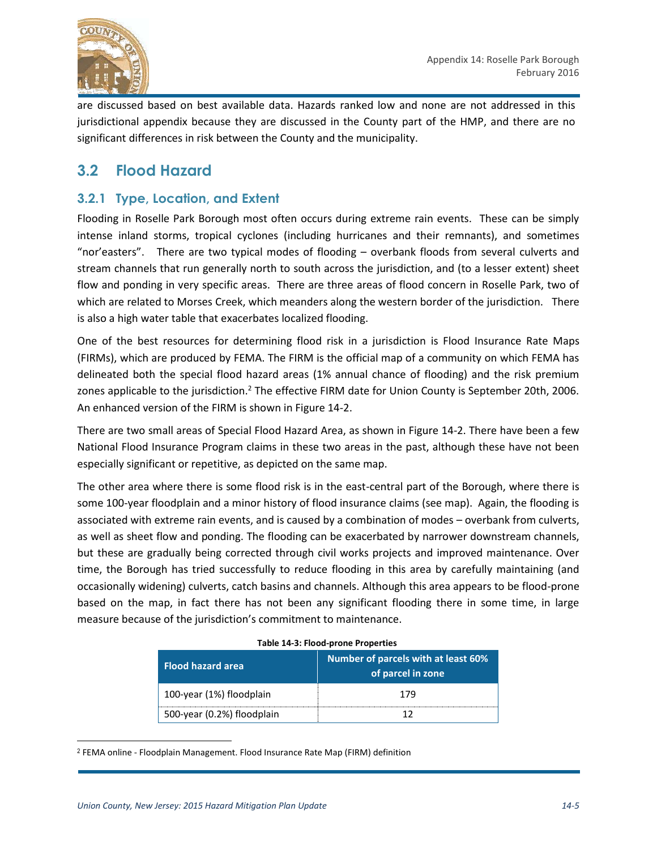

are discussed based on best available data. Hazards ranked low and none are not addressed in this jurisdictional appendix because they are discussed in the County part of the HMP, and there are no significant differences in risk between the County and the municipality.

### **3.2 Flood Hazard**

### **3.2.1 Type, Location, and Extent**

Flooding in Roselle Park Borough most often occurs during extreme rain events. These can be simply intense inland storms, tropical cyclones (including hurricanes and their remnants), and sometimes "nor'easters". There are two typical modes of flooding – overbank floods from several culverts and stream channels that run generally north to south across the jurisdiction, and (to a lesser extent) sheet flow and ponding in very specific areas. There are three areas of flood concern in Roselle Park, two of which are related to Morses Creek, which meanders along the western border of the jurisdiction. There is also a high water table that exacerbates localized flooding.

One of the best resources for determining flood risk in a jurisdiction is Flood Insurance Rate Maps (FIRMs), which are produced by FEMA. The FIRM is the official map of a community on which FEMA has delineated both the special flood hazard areas (1% annual chance of flooding) and the risk premium zones applicable to the jurisdiction.<sup>2</sup> The effective FIRM date for Union County is September 20th, 2006. An enhanced version of the FIRM is shown in Figure 14-2.

There are two small areas of Special Flood Hazard Area, as shown in Figure 14-2. There have been a few National Flood Insurance Program claims in these two areas in the past, although these have not been especially significant or repetitive, as depicted on the same map.

The other area where there is some flood risk is in the east-central part of the Borough, where there is some 100-year floodplain and a minor history of flood insurance claims (see map). Again, the flooding is associated with extreme rain events, and is caused by a combination of modes – overbank from culverts, as well as sheet flow and ponding. The flooding can be exacerbated by narrower downstream channels, but these are gradually being corrected through civil works projects and improved maintenance. Over time, the Borough has tried successfully to reduce flooding in this area by carefully maintaining (and occasionally widening) culverts, catch basins and channels. Although this area appears to be flood-prone based on the map, in fact there has not been any significant flooding there in some time, in large measure because of the jurisdiction's commitment to maintenance.

| <b>Flood hazard area</b>   | Number of parcels with at least 60%<br>of parcel in zone |
|----------------------------|----------------------------------------------------------|
| 100-year (1%) floodplain   | 179                                                      |
| 500-year (0.2%) floodplain |                                                          |

| Table 14-3: Flood-prone Properties |  |  |  |  |
|------------------------------------|--|--|--|--|
|------------------------------------|--|--|--|--|

l

<sup>2</sup> FEMA online - Floodplain Management. Flood Insurance Rate Map (FIRM) definition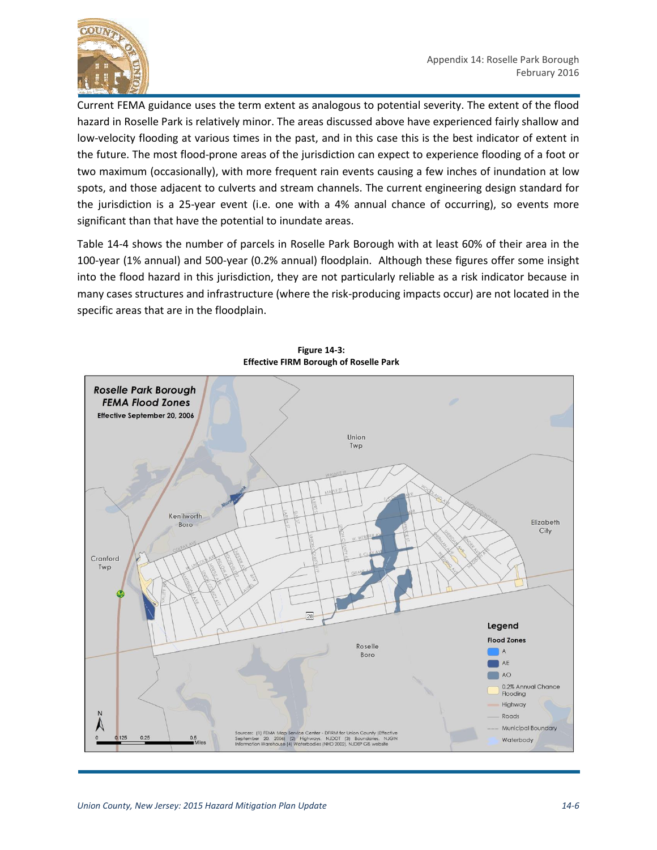

Current FEMA guidance uses the term extent as analogous to potential severity. The extent of the flood hazard in Roselle Park is relatively minor. The areas discussed above have experienced fairly shallow and low-velocity flooding at various times in the past, and in this case this is the best indicator of extent in the future. The most flood-prone areas of the jurisdiction can expect to experience flooding of a foot or two maximum (occasionally), with more frequent rain events causing a few inches of inundation at low spots, and those adjacent to culverts and stream channels. The current engineering design standard for the jurisdiction is a 25-year event (i.e. one with a 4% annual chance of occurring), so events more significant than that have the potential to inundate areas.

Table 14-4 shows the number of parcels in Roselle Park Borough with at least 60% of their area in the 100-year (1% annual) and 500-year (0.2% annual) floodplain. Although these figures offer some insight into the flood hazard in this jurisdiction, they are not particularly reliable as a risk indicator because in many cases structures and infrastructure (where the risk-producing impacts occur) are not located in the specific areas that are in the floodplain.



**Figure 14-3: Effective FIRM Borough of Roselle Park**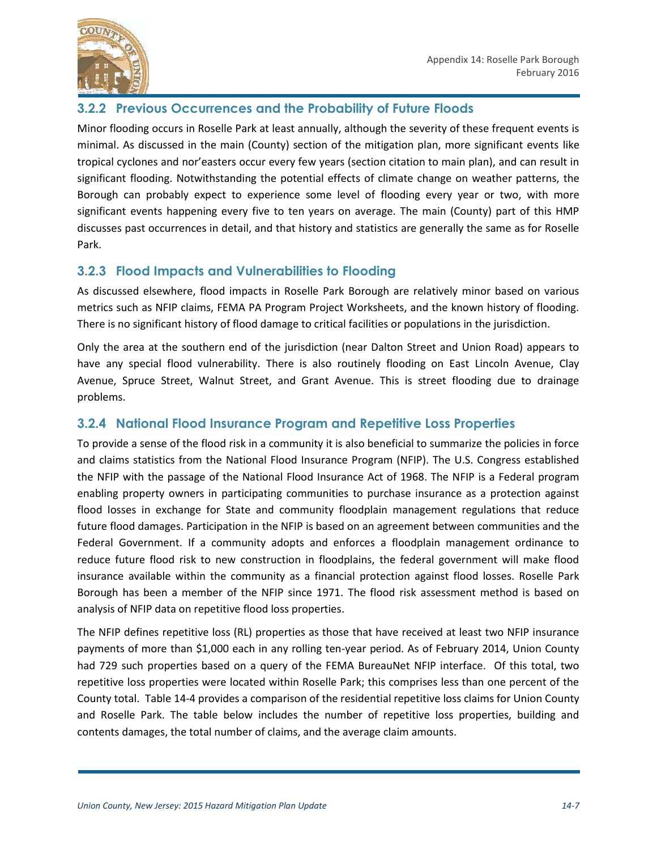

#### **3.2.2 Previous Occurrences and the Probability of Future Floods**

Minor flooding occurs in Roselle Park at least annually, although the severity of these frequent events is minimal. As discussed in the main (County) section of the mitigation plan, more significant events like tropical cyclones and nor'easters occur every few years (section citation to main plan), and can result in significant flooding. Notwithstanding the potential effects of climate change on weather patterns, the Borough can probably expect to experience some level of flooding every year or two, with more significant events happening every five to ten years on average. The main (County) part of this HMP discusses past occurrences in detail, and that history and statistics are generally the same as for Roselle Park.

#### **3.2.3 Flood Impacts and Vulnerabilities to Flooding**

As discussed elsewhere, flood impacts in Roselle Park Borough are relatively minor based on various metrics such as NFIP claims, FEMA PA Program Project Worksheets, and the known history of flooding. There is no significant history of flood damage to critical facilities or populations in the jurisdiction.

Only the area at the southern end of the jurisdiction (near Dalton Street and Union Road) appears to have any special flood vulnerability. There is also routinely flooding on East Lincoln Avenue, Clay Avenue, Spruce Street, Walnut Street, and Grant Avenue. This is street flooding due to drainage problems.

#### **3.2.4 National Flood Insurance Program and Repetitive Loss Properties**

To provide a sense of the flood risk in a community it is also beneficial to summarize the policies in force and claims statistics from the National Flood Insurance Program (NFIP). The U.S. Congress established the NFIP with the passage of the National Flood Insurance Act of 1968. The NFIP is a Federal program enabling property owners in participating communities to purchase insurance as a protection against flood losses in exchange for State and community floodplain management regulations that reduce future flood damages. Participation in the NFIP is based on an agreement between communities and the Federal Government. If a community adopts and enforces a floodplain management ordinance to reduce future flood risk to new construction in floodplains, the federal government will make flood insurance available within the community as a financial protection against flood losses. Roselle Park Borough has been a member of the NFIP since 1971. The flood risk assessment method is based on analysis of NFIP data on repetitive flood loss properties.

The NFIP defines repetitive loss (RL) properties as those that have received at least two NFIP insurance payments of more than \$1,000 each in any rolling ten-year period. As of February 2014, Union County had 729 such properties based on a query of the FEMA BureauNet NFIP interface. Of this total, two repetitive loss properties were located within Roselle Park; this comprises less than one percent of the County total. Table 14-4 provides a comparison of the residential repetitive loss claims for Union County and Roselle Park. The table below includes the number of repetitive loss properties, building and contents damages, the total number of claims, and the average claim amounts.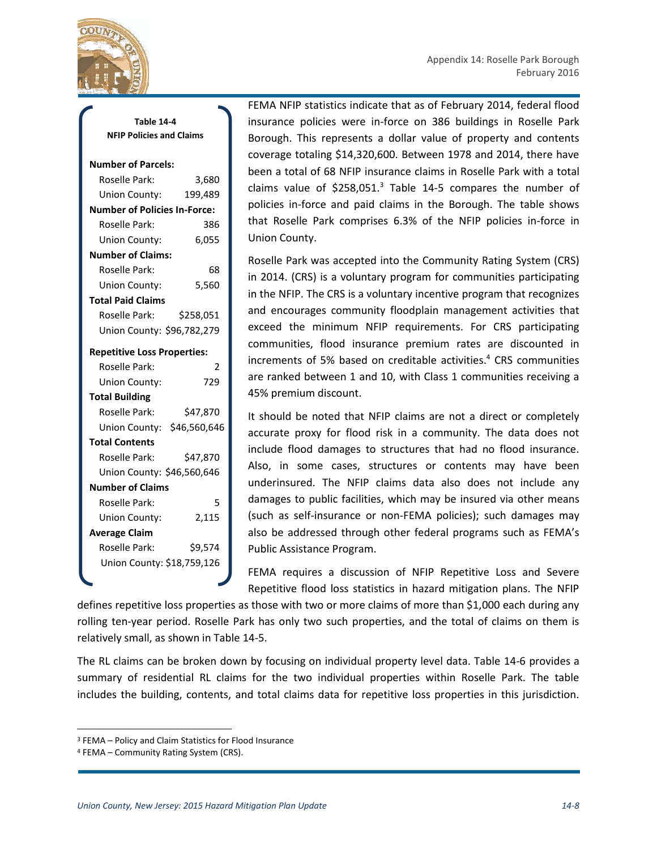

**Table 14-4 NFIP Policies and Claims**

#### **Number of Parcels:**

| Roselle Park:                       | 3,680     |
|-------------------------------------|-----------|
| Union County:                       | 199,489   |
| <b>Number of Policies In-Force:</b> |           |
| Roselle Park:                       | 386       |
| Union County:                       | 6,055     |
| <b>Number of Claims:</b>            |           |
| Roselle Park:                       | 68        |
| Union County:                       | 5,560     |
| <b>Total Paid Claims</b>            |           |
| Roselle Park:                       | \$258,051 |
| Union County: \$96,782,279          |           |
| <b>Repetitive Loss Properties:</b>  |           |
| Roselle Park:                       | 2         |
| Union County:                       | 729       |
| <b>Total Building</b>               |           |
| Roselle Park:                       | \$47.870  |
| Union County: \$46,560,646          |           |
| <b>Total Contents</b>               |           |
| Roselle Park:                       | \$47,870  |
| Union County: \$46,560,646          |           |
| <b>Number of Claims</b>             |           |
| Roselle Park:                       | 5         |
| Union County:                       | 2,115     |
| <b>Average Claim</b>                |           |
| Roselle Park:                       | \$9,574   |
| Union County: \$18,759,126          |           |
|                                     |           |

FEMA NFIP statistics indicate that as of February 2014, federal flood insurance policies were in-force on 386 buildings in Roselle Park Borough. This represents a dollar value of property and contents coverage totaling \$14,320,600. Between 1978 and 2014, there have been a total of 68 NFIP insurance claims in Roselle Park with a total claims value of  $$258,051.<sup>3</sup>$  Table 14-5 compares the number of policies in-force and paid claims in the Borough. The table shows that Roselle Park comprises 6.3% of the NFIP policies in-force in Union County.

Roselle Park was accepted into the Community Rating System (CRS) in 2014. (CRS) is a voluntary program for communities participating in the NFIP. The CRS is a voluntary incentive program that recognizes and encourages community floodplain management activities that exceed the minimum NFIP requirements. For CRS participating communities, flood insurance premium rates are discounted in increments of 5% based on creditable activities.<sup>4</sup> CRS communities are ranked between 1 and 10, with Class 1 communities receiving a 45% premium discount.

It should be noted that NFIP claims are not a direct or completely accurate proxy for flood risk in a community. The data does not include flood damages to structures that had no flood insurance. Also, in some cases, structures or contents may have been underinsured. The NFIP claims data also does not include any damages to public facilities, which may be insured via other means (such as self-insurance or non-FEMA policies); such damages may also be addressed through other federal programs such as FEMA's Public Assistance Program.

FEMA requires a discussion of NFIP Repetitive Loss and Severe Repetitive flood loss statistics in hazard mitigation plans. The NFIP

defines repetitive loss properties as those with two or more claims of more than \$1,000 each during any rolling ten-year period. Roselle Park has only two such properties, and the total of claims on them is relatively small, as shown in Table 14-5.

The RL claims can be broken down by focusing on individual property level data. Table 14-6 provides a summary of residential RL claims for the two individual properties within Roselle Park. The table includes the building, contents, and total claims data for repetitive loss properties in this jurisdiction.

 $\overline{\phantom{a}}$ 

<sup>3</sup> FEMA – Policy and Claim Statistics for Flood Insurance

<sup>4</sup> FEMA – Community Rating System (CRS).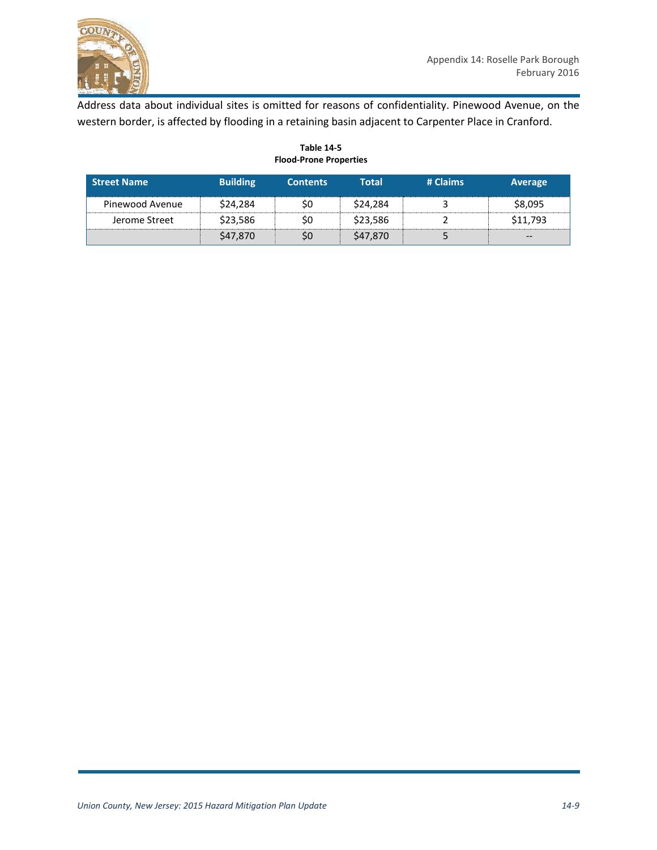

Address data about individual sites is omitted for reasons of confidentiality. Pinewood Avenue, on the western border, is affected by flooding in a retaining basin adjacent to Carpenter Place in Cranford.

| <b>Street Name</b> | <b>Building</b> | <b>Contents</b> | Total    | # Claims | Average  |
|--------------------|-----------------|-----------------|----------|----------|----------|
| Pinewood Avenue    | \$24,284        | \$0             | \$24.284 |          | \$8,095  |
| Jerome Street      | \$23.586        | S0              | \$23.586 |          | \$11.793 |
|                    | \$47,870        | \$0             | \$47,870 |          | $- -$    |

**Table 14-5 Flood-Prone Properties**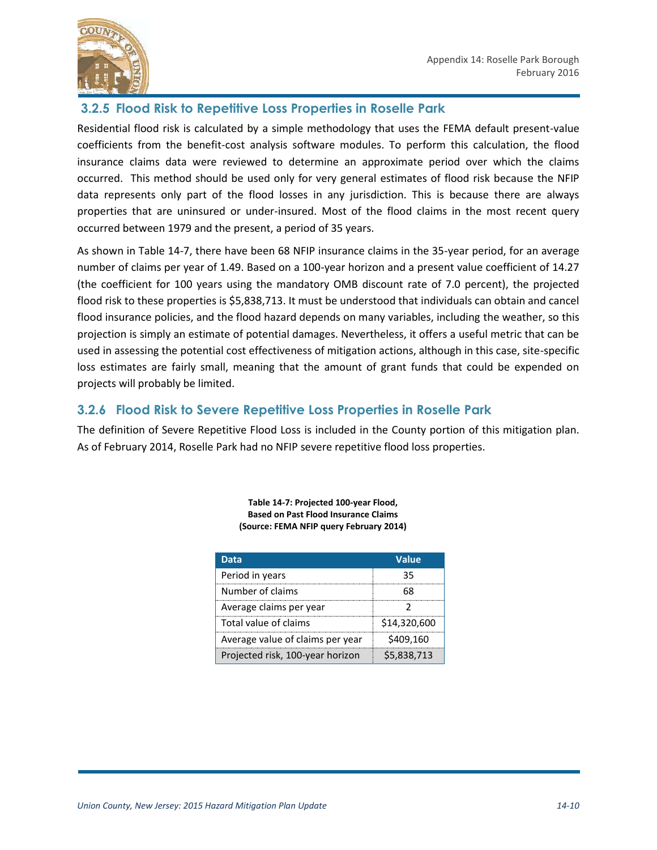

#### **3.2.5 Flood Risk to Repetitive Loss Properties in Roselle Park**

Residential flood risk is calculated by a simple methodology that uses the FEMA default present-value coefficients from the benefit-cost analysis software modules. To perform this calculation, the flood insurance claims data were reviewed to determine an approximate period over which the claims occurred. This method should be used only for very general estimates of flood risk because the NFIP data represents only part of the flood losses in any jurisdiction. This is because there are always properties that are uninsured or under-insured. Most of the flood claims in the most recent query occurred between 1979 and the present, a period of 35 years.

As shown in Table 14-7, there have been 68 NFIP insurance claims in the 35-year period, for an average number of claims per year of 1.49. Based on a 100-year horizon and a present value coefficient of 14.27 (the coefficient for 100 years using the mandatory OMB discount rate of 7.0 percent), the projected flood risk to these properties is \$5,838,713. It must be understood that individuals can obtain and cancel flood insurance policies, and the flood hazard depends on many variables, including the weather, so this projection is simply an estimate of potential damages. Nevertheless, it offers a useful metric that can be used in assessing the potential cost effectiveness of mitigation actions, although in this case, site-specific loss estimates are fairly small, meaning that the amount of grant funds that could be expended on projects will probably be limited.

#### **3.2.6 Flood Risk to Severe Repetitive Loss Properties in Roselle Park**

The definition of Severe Repetitive Flood Loss is included in the County portion of this mitigation plan. As of February 2014, Roselle Park had no NFIP severe repetitive flood loss properties.

| Data                             | Value        |
|----------------------------------|--------------|
| Period in years                  | 35           |
| Number of claims                 |              |
| Average claims per year          |              |
| Total value of claims            | \$14,320,600 |
| Average value of claims per year | \$409,160    |
| Projected risk, 100-year horizon | \$5,838,713  |

**Table 14-7: Projected 100-year Flood, Based on Past Flood Insurance Claims (Source: FEMA NFIP query February 2014)**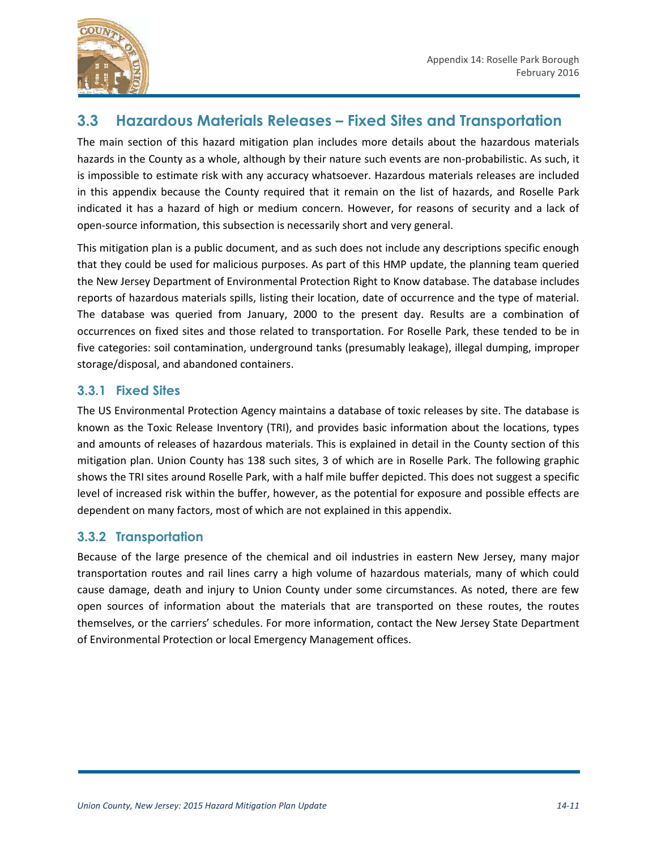

### **3.3 Hazardous Materials Releases – Fixed Sites and Transportation**

The main section of this hazard mitigation plan includes more details about the hazardous materials hazards in the County as a whole, although by their nature such events are non-probabilistic. As such, it is impossible to estimate risk with any accuracy whatsoever. Hazardous materials releases are included in this appendix because the County required that it remain on the list of hazards, and Roselle Park indicated it has a hazard of high or medium concern. However, for reasons of security and a lack of open-source information, this subsection is necessarily short and very general.

This mitigation plan is a public document, and as such does not include any descriptions specific enough that they could be used for malicious purposes. As part of this HMP update, the planning team queried the New Jersey Department of Environmental Protection Right to Know database. The database includes reports of hazardous materials spills, listing their location, date of occurrence and the type of material. The database was queried from January, 2000 to the present day. Results are a combination of occurrences on fixed sites and those related to transportation. For Roselle Park, these tended to be in five categories: soil contamination, underground tanks (presumably leakage), illegal dumping, improper storage/disposal, and abandoned containers.

#### **3.3.1 Fixed Sites**

The US Environmental Protection Agency maintains a database of toxic releases by site. The database is known as the Toxic Release Inventory (TRI), and provides basic information about the locations, types and amounts of releases of hazardous materials. This is explained in detail in the County section of this mitigation plan. Union County has 138 such sites, 3 of which are in Roselle Park. The following graphic shows the TRI sites around Roselle Park, with a half mile buffer depicted. This does not suggest a specific level of increased risk within the buffer, however, as the potential for exposure and possible effects are dependent on many factors, most of which are not explained in this appendix.

#### **3.3.2 Transportation**

Because of the large presence of the chemical and oil industries in eastern New Jersey, many major transportation routes and rail lines carry a high volume of hazardous materials, many of which could cause damage, death and injury to Union County under some circumstances. As noted, there are few open sources of information about the materials that are transported on these routes, the routes themselves, or the carriers' schedules. For more information, contact the New Jersey State Department of Environmental Protection or local Emergency Management offices.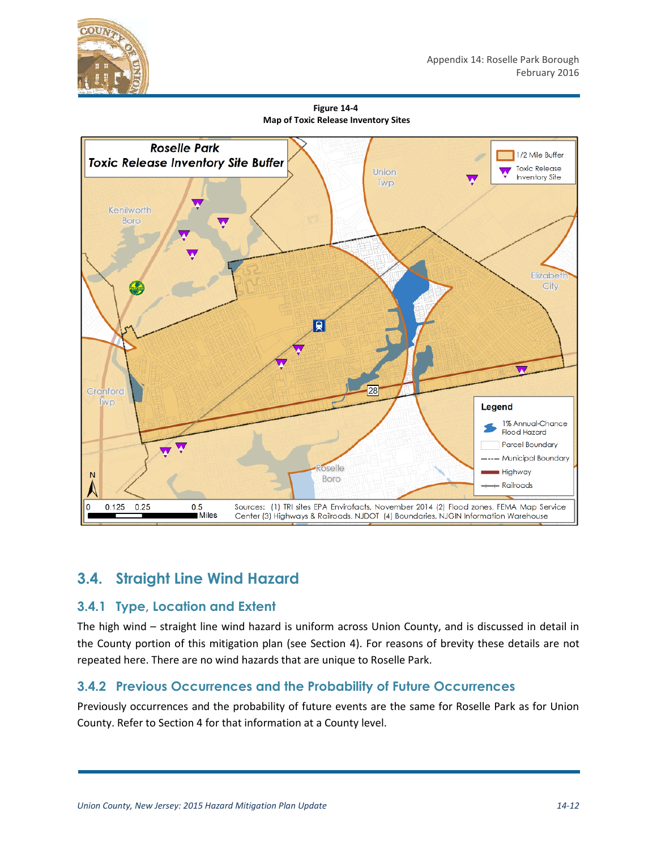

**Figure 14-4 Map of Toxic Release Inventory Sites**



## **3.4. Straight Line Wind Hazard**

#### **3.4.1 Type, Location and Extent**

The high wind – straight line wind hazard is uniform across Union County, and is discussed in detail in the County portion of this mitigation plan (see Section 4). For reasons of brevity these details are not repeated here. There are no wind hazards that are unique to Roselle Park.

#### **3.4.2 Previous Occurrences and the Probability of Future Occurrences**

Previously occurrences and the probability of future events are the same for Roselle Park as for Union County. Refer to Section 4 for that information at a County level.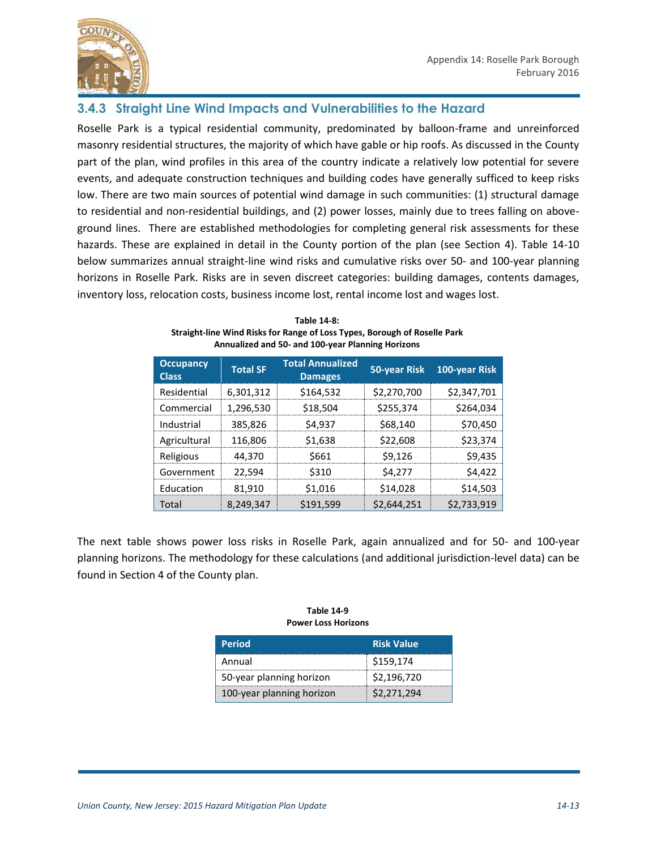

#### **3.4.3 Straight Line Wind Impacts and Vulnerabilities to the Hazard**

Roselle Park is a typical residential community, predominated by balloon-frame and unreinforced masonry residential structures, the majority of which have gable or hip roofs. As discussed in the County part of the plan, wind profiles in this area of the country indicate a relatively low potential for severe events, and adequate construction techniques and building codes have generally sufficed to keep risks low. There are two main sources of potential wind damage in such communities: (1) structural damage to residential and non-residential buildings, and (2) power losses, mainly due to trees falling on aboveground lines. There are established methodologies for completing general risk assessments for these hazards. These are explained in detail in the County portion of the plan (see Section 4). Table 14-10 below summarizes annual straight-line wind risks and cumulative risks over 50- and 100-year planning horizons in Roselle Park. Risks are in seven discreet categories: building damages, contents damages, inventory loss, relocation costs, business income lost, rental income lost and wages lost.

| <b>Occupancy</b><br><b>Class</b> | <b>Total SF</b> | <b>Total Annualized</b><br><b>Damages</b> | 50-year Risk | 100-year Risk |
|----------------------------------|-----------------|-------------------------------------------|--------------|---------------|
| Residential                      | 6,301,312       | \$164,532                                 | \$2,270,700  | \$2,347,701   |
| Commercial                       | 1,296,530       | \$18,504                                  | \$255,374    | \$264,034     |
| Industrial                       | 385,826         | \$4,937                                   | \$68,140     | \$70,450      |
| Agricultural                     | 116,806         | \$1,638                                   | \$22,608     | \$23,374      |
| Religious                        | 44.370          | \$661                                     | \$9.126      | \$9,435       |
| Government                       | 22,594          | \$310                                     | \$4,277      | \$4,422       |
| Education                        | 81,910          | \$1,016                                   | \$14,028     | \$14,503      |
| Total                            | 8,249,347       | \$191,599                                 | \$2,644,251  | \$2,733,919   |

| Table 14-8:                                                               |
|---------------------------------------------------------------------------|
| Straight-line Wind Risks for Range of Loss Types, Borough of Roselle Park |
| <b>Annualized and 50- and 100-vear Planning Horizons</b>                  |

The next table shows power loss risks in Roselle Park, again annualized and for 50- and 100-year planning horizons. The methodology for these calculations (and additional jurisdiction-level data) can be found in Section 4 of the County plan.

|  | <b>Table 14-9</b>          |
|--|----------------------------|
|  | <b>Power Loss Horizons</b> |

| <b>Period</b>             | <b>Risk Value</b> |
|---------------------------|-------------------|
| Annual                    | \$159,174         |
| 50-year planning horizon  | \$2,196,720       |
| 100-year planning horizon | \$2,271,294       |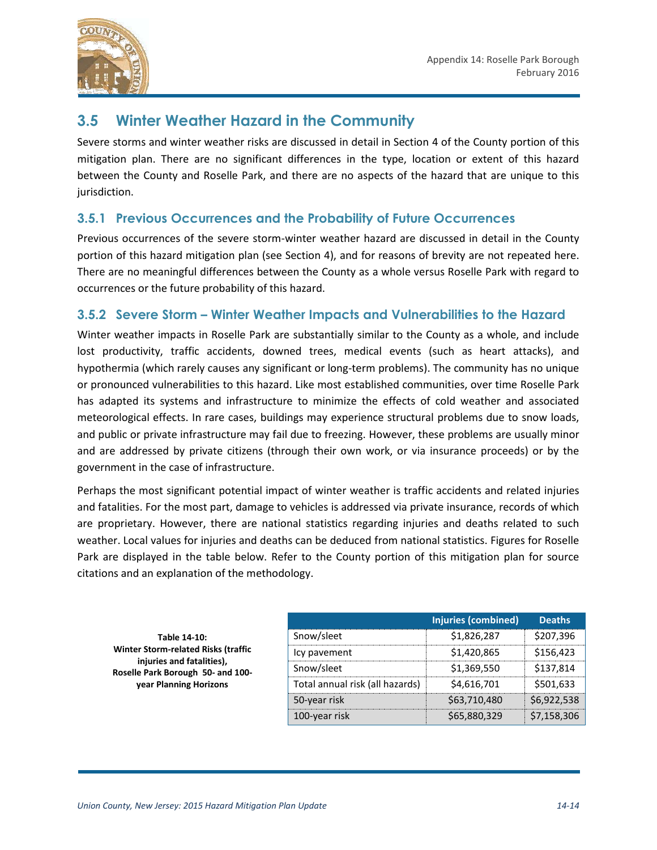

### **3.5 Winter Weather Hazard in the Community**

Severe storms and winter weather risks are discussed in detail in Section 4 of the County portion of this mitigation plan. There are no significant differences in the type, location or extent of this hazard between the County and Roselle Park, and there are no aspects of the hazard that are unique to this jurisdiction.

#### **3.5.1 Previous Occurrences and the Probability of Future Occurrences**

Previous occurrences of the severe storm-winter weather hazard are discussed in detail in the County portion of this hazard mitigation plan (see Section 4), and for reasons of brevity are not repeated here. There are no meaningful differences between the County as a whole versus Roselle Park with regard to occurrences or the future probability of this hazard.

#### **3.5.2 Severe Storm – Winter Weather Impacts and Vulnerabilities to the Hazard**

Winter weather impacts in Roselle Park are substantially similar to the County as a whole, and include lost productivity, traffic accidents, downed trees, medical events (such as heart attacks), and hypothermia (which rarely causes any significant or long-term problems). The community has no unique or pronounced vulnerabilities to this hazard. Like most established communities, over time Roselle Park has adapted its systems and infrastructure to minimize the effects of cold weather and associated meteorological effects. In rare cases, buildings may experience structural problems due to snow loads, and public or private infrastructure may fail due to freezing. However, these problems are usually minor and are addressed by private citizens (through their own work, or via insurance proceeds) or by the government in the case of infrastructure.

Perhaps the most significant potential impact of winter weather is traffic accidents and related injuries and fatalities. For the most part, damage to vehicles is addressed via private insurance, records of which are proprietary. However, there are national statistics regarding injuries and deaths related to such weather. Local values for injuries and deaths can be deduced from national statistics. Figures for Roselle Park are displayed in the table below. Refer to the County portion of this mitigation plan for source citations and an explanation of the methodology.

**Table 14-10: Winter Storm-related Risks (traffic injuries and fatalities), Roselle Park Borough 50- and 100 year Planning Horizons**

|                                 | Injuries (combined) | <b>Deaths</b> |
|---------------------------------|---------------------|---------------|
| Snow/sleet                      | \$1.826.287         | \$207,396     |
| Icy pavement                    | \$1,420,865         | \$156.423     |
| Snow/sleet                      | \$1.369.550         | \$137,814     |
| Total annual risk (all hazards) | \$4,616,701         | \$501.633     |
| 50-year risk                    | \$63,710,480        | \$6.922.538   |
| 100-year risk                   | S65.880.329         | 57.158.30     |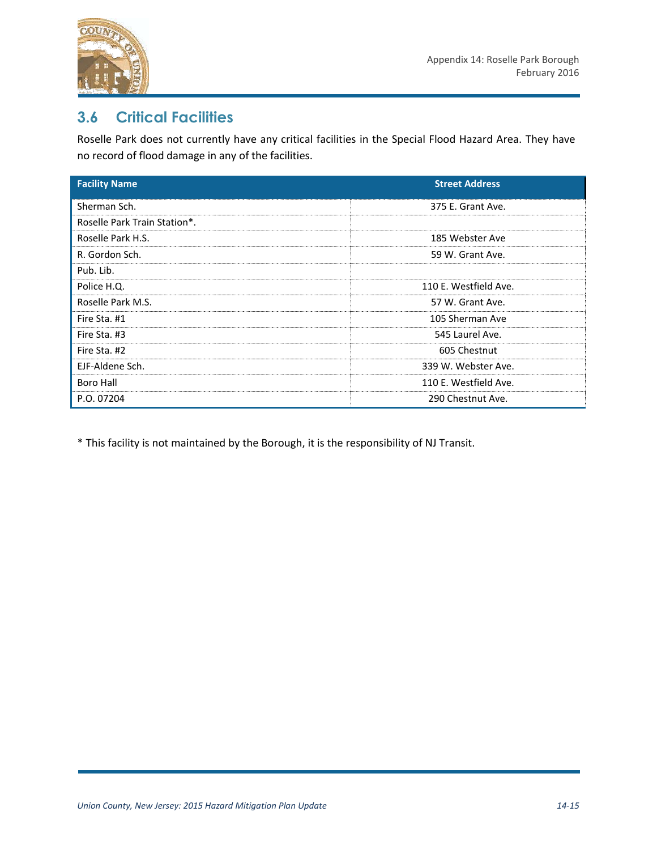

### **3.6 Critical Facilities**

Roselle Park does not currently have any critical facilities in the Special Flood Hazard Area. They have no record of flood damage in any of the facilities.

| <b>Facility Name</b>         | <b>Street Address</b> |
|------------------------------|-----------------------|
| Sherman Sch.                 | 375 E. Grant Ave.     |
| Roselle Park Train Station*. |                       |
| Roselle Park H.S.            | 185 Webster Ave       |
| R. Gordon Sch.               | 59 W. Grant Ave.      |
| Pub. Lib.                    |                       |
| Police H.Q.                  | 110 E. Westfield Ave. |
| Roselle Park M.S.            | 57 W. Grant Ave.      |
| Fire Sta. #1                 | 105 Sherman Ave       |
| Fire Sta. #3                 | 545 Laurel Ave.       |
| Fire Sta. #2                 | 605 Chestnut          |
| EJF-Aldene Sch.              | 339 W. Webster Ave.   |
| <b>Boro Hall</b>             | 110 E. Westfield Ave. |
| P.O. 07204                   | 290 Chestnut Ave.     |

\* This facility is not maintained by the Borough, it is the responsibility of NJ Transit.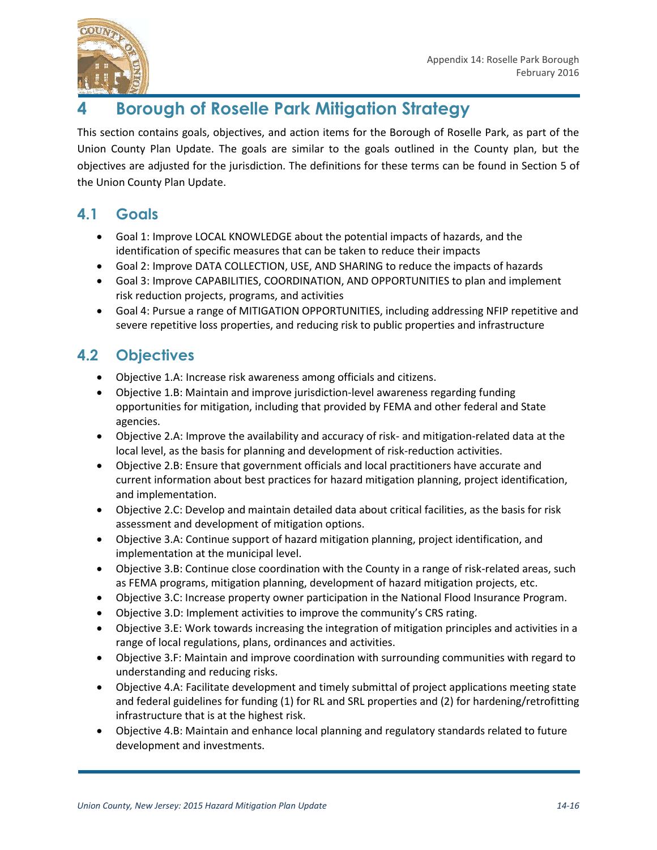

# **4 Borough of Roselle Park Mitigation Strategy**

This section contains goals, objectives, and action items for the Borough of Roselle Park, as part of the Union County Plan Update. The goals are similar to the goals outlined in the County plan, but the objectives are adjusted for the jurisdiction. The definitions for these terms can be found in Section 5 of the Union County Plan Update.

## **4.1 Goals**

- Goal 1: Improve LOCAL KNOWLEDGE about the potential impacts of hazards, and the identification of specific measures that can be taken to reduce their impacts
- Goal 2: Improve DATA COLLECTION, USE, AND SHARING to reduce the impacts of hazards
- Goal 3: Improve CAPABILITIES, COORDINATION, AND OPPORTUNITIES to plan and implement risk reduction projects, programs, and activities
- Goal 4: Pursue a range of MITIGATION OPPORTUNITIES, including addressing NFIP repetitive and severe repetitive loss properties, and reducing risk to public properties and infrastructure

# **4.2 Objectives**

- Objective 1.A: Increase risk awareness among officials and citizens.
- Objective 1.B: Maintain and improve jurisdiction-level awareness regarding funding opportunities for mitigation, including that provided by FEMA and other federal and State agencies.
- Objective 2.A: Improve the availability and accuracy of risk- and mitigation-related data at the local level, as the basis for planning and development of risk-reduction activities.
- Objective 2.B: Ensure that government officials and local practitioners have accurate and current information about best practices for hazard mitigation planning, project identification, and implementation.
- Objective 2.C: Develop and maintain detailed data about critical facilities, as the basis for risk assessment and development of mitigation options.
- Objective 3.A: Continue support of hazard mitigation planning, project identification, and implementation at the municipal level.
- Objective 3.B: Continue close coordination with the County in a range of risk-related areas, such as FEMA programs, mitigation planning, development of hazard mitigation projects, etc.
- Objective 3.C: Increase property owner participation in the National Flood Insurance Program.
- Objective 3.D: Implement activities to improve the community's CRS rating.
- Objective 3.E: Work towards increasing the integration of mitigation principles and activities in a range of local regulations, plans, ordinances and activities.
- Objective 3.F: Maintain and improve coordination with surrounding communities with regard to understanding and reducing risks.
- Objective 4.A: Facilitate development and timely submittal of project applications meeting state and federal guidelines for funding (1) for RL and SRL properties and (2) for hardening/retrofitting infrastructure that is at the highest risk.
- Objective 4.B: Maintain and enhance local planning and regulatory standards related to future development and investments.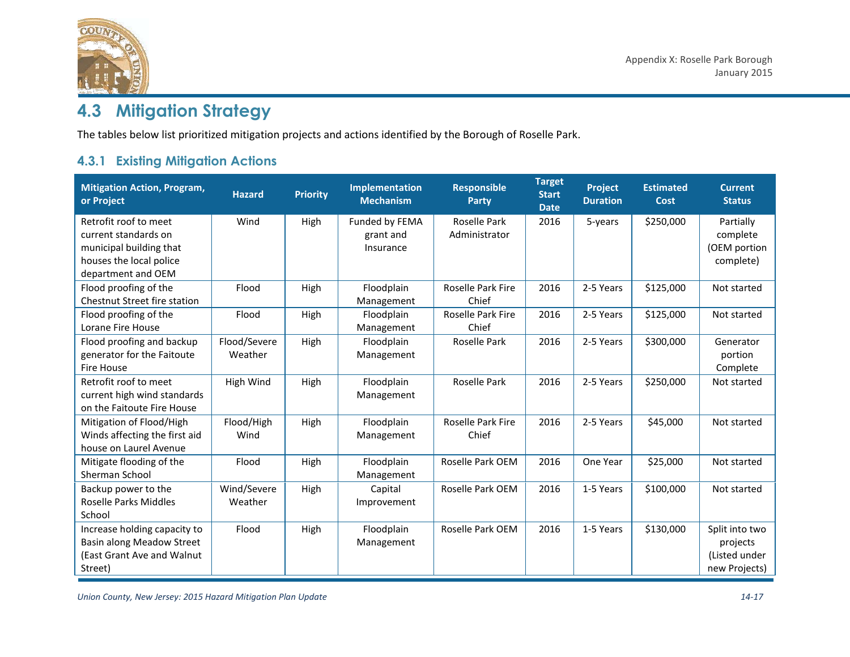

# **4.3 Mitigation Strategy**

The tables below list prioritized mitigation projects and actions identified by the Borough of Roselle Park.

### **4.3.1 Existing Mitigation Actions**

| <b>Mitigation Action, Program,</b><br>or Project                                                                          | <b>Hazard</b>           | <b>Priority</b> | <b>Implementation</b><br><b>Mechanism</b> | <b>Responsible</b><br><b>Party</b> | <b>Target</b><br><b>Start</b><br><b>Date</b> | <b>Project</b><br><b>Duration</b> | <b>Estimated</b><br><b>Cost</b> | <b>Current</b><br><b>Status</b>                              |
|---------------------------------------------------------------------------------------------------------------------------|-------------------------|-----------------|-------------------------------------------|------------------------------------|----------------------------------------------|-----------------------------------|---------------------------------|--------------------------------------------------------------|
| Retrofit roof to meet<br>current standards on<br>municipal building that<br>houses the local police<br>department and OEM | Wind                    | High            | Funded by FEMA<br>grant and<br>Insurance  | Roselle Park<br>Administrator      | 2016                                         | 5-years                           | \$250,000                       | Partially<br>complete<br>(OEM portion<br>complete)           |
| Flood proofing of the<br>Chestnut Street fire station                                                                     | Flood                   | High            | Floodplain<br>Management                  | <b>Roselle Park Fire</b><br>Chief  | 2016                                         | 2-5 Years                         | \$125,000                       | Not started                                                  |
| Flood proofing of the<br>Lorane Fire House                                                                                | Flood                   | High            | Floodplain<br>Management                  | Roselle Park Fire<br>Chief         | 2016                                         | 2-5 Years                         | \$125,000                       | Not started                                                  |
| Flood proofing and backup<br>generator for the Faitoute<br><b>Fire House</b>                                              | Flood/Severe<br>Weather | High            | Floodplain<br>Management                  | Roselle Park                       | 2016                                         | 2-5 Years                         | \$300,000                       | Generator<br>portion<br>Complete                             |
| Retrofit roof to meet<br>current high wind standards<br>on the Faitoute Fire House                                        | High Wind               | High            | Floodplain<br>Management                  | Roselle Park                       | 2016                                         | 2-5 Years                         | \$250,000                       | Not started                                                  |
| Mitigation of Flood/High<br>Winds affecting the first aid<br>house on Laurel Avenue                                       | Flood/High<br>Wind      | High            | Floodplain<br>Management                  | Roselle Park Fire<br>Chief         | 2016                                         | 2-5 Years                         | \$45,000                        | Not started                                                  |
| Mitigate flooding of the<br>Sherman School                                                                                | Flood                   | High            | Floodplain<br>Management                  | Roselle Park OEM                   | 2016                                         | One Year                          | \$25,000                        | Not started                                                  |
| Backup power to the<br><b>Roselle Parks Middles</b><br>School                                                             | Wind/Severe<br>Weather  | High            | Capital<br>Improvement                    | Roselle Park OEM                   | 2016                                         | 1-5 Years                         | \$100,000                       | Not started                                                  |
| Increase holding capacity to<br>Basin along Meadow Street<br>(East Grant Ave and Walnut<br>Street)                        | Flood                   | High            | Floodplain<br>Management                  | Roselle Park OEM                   | 2016                                         | 1-5 Years                         | \$130,000                       | Split into two<br>projects<br>(Listed under<br>new Projects) |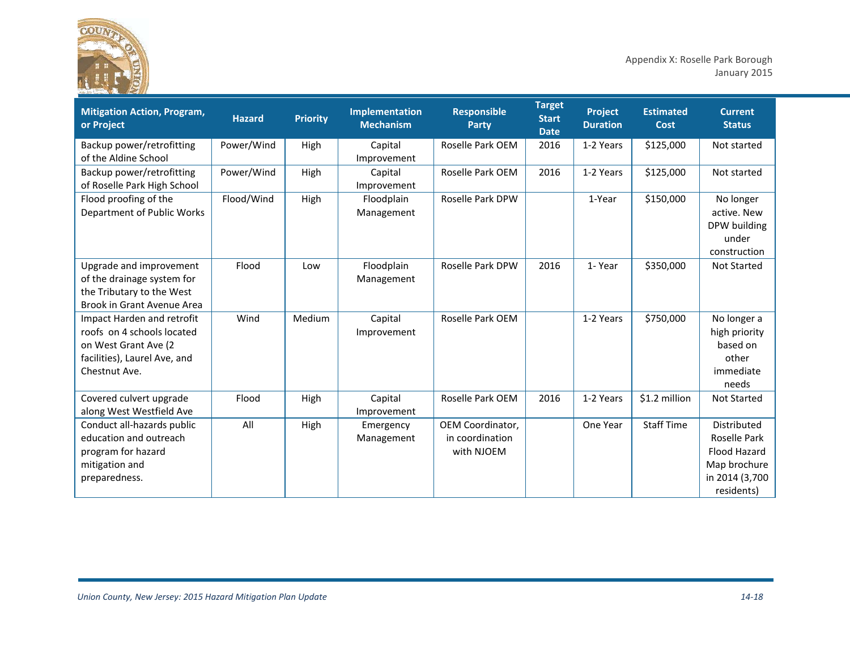

Appendix X: Roselle Park Borough January 2015

| <b>Mitigation Action, Program,</b><br>or Project                                                                                  | <b>Hazard</b> | <b>Priority</b> | <b>Implementation</b><br><b>Mechanism</b> | <b>Responsible</b><br><b>Party</b>                | <b>Target</b><br><b>Start</b><br><b>Date</b> | Project<br><b>Duration</b> | <b>Estimated</b><br>Cost | <b>Current</b><br><b>Status</b>                                                             |
|-----------------------------------------------------------------------------------------------------------------------------------|---------------|-----------------|-------------------------------------------|---------------------------------------------------|----------------------------------------------|----------------------------|--------------------------|---------------------------------------------------------------------------------------------|
| Backup power/retrofitting<br>of the Aldine School                                                                                 | Power/Wind    | High            | Capital<br>Improvement                    | Roselle Park OEM                                  | 2016                                         | 1-2 Years                  | \$125,000                | Not started                                                                                 |
| Backup power/retrofitting<br>of Roselle Park High School                                                                          | Power/Wind    | High            | Capital<br>Improvement                    | Roselle Park OEM                                  | 2016                                         | 1-2 Years                  | \$125,000                | Not started                                                                                 |
| Flood proofing of the<br>Department of Public Works                                                                               | Flood/Wind    | High            | Floodplain<br>Management                  | Roselle Park DPW                                  |                                              | 1-Year                     | \$150,000                | No longer<br>active. New<br>DPW building<br>under<br>construction                           |
| Upgrade and improvement<br>of the drainage system for<br>the Tributary to the West<br>Brook in Grant Avenue Area                  | Flood         | Low             | Floodplain<br>Management                  | <b>Roselle Park DPW</b>                           | 2016                                         | 1-Year                     | \$350,000                | <b>Not Started</b>                                                                          |
| Impact Harden and retrofit<br>roofs on 4 schools located<br>on West Grant Ave (2<br>facilities), Laurel Ave, and<br>Chestnut Ave. | Wind          | Medium          | Capital<br>Improvement                    | Roselle Park OEM                                  |                                              | 1-2 Years                  | \$750,000                | No longer a<br>high priority<br>based on<br>other<br>immediate<br>needs                     |
| Covered culvert upgrade<br>along West Westfield Ave                                                                               | Flood         | High            | Capital<br>Improvement                    | Roselle Park OEM                                  | 2016                                         | 1-2 Years                  | \$1.2 million            | <b>Not Started</b>                                                                          |
| Conduct all-hazards public<br>education and outreach<br>program for hazard<br>mitigation and<br>preparedness.                     | All           | High            | Emergency<br>Management                   | OEM Coordinator,<br>in coordination<br>with NJOEM |                                              | One Year                   | <b>Staff Time</b>        | Distributed<br>Roselle Park<br>Flood Hazard<br>Map brochure<br>in 2014 (3,700<br>residents) |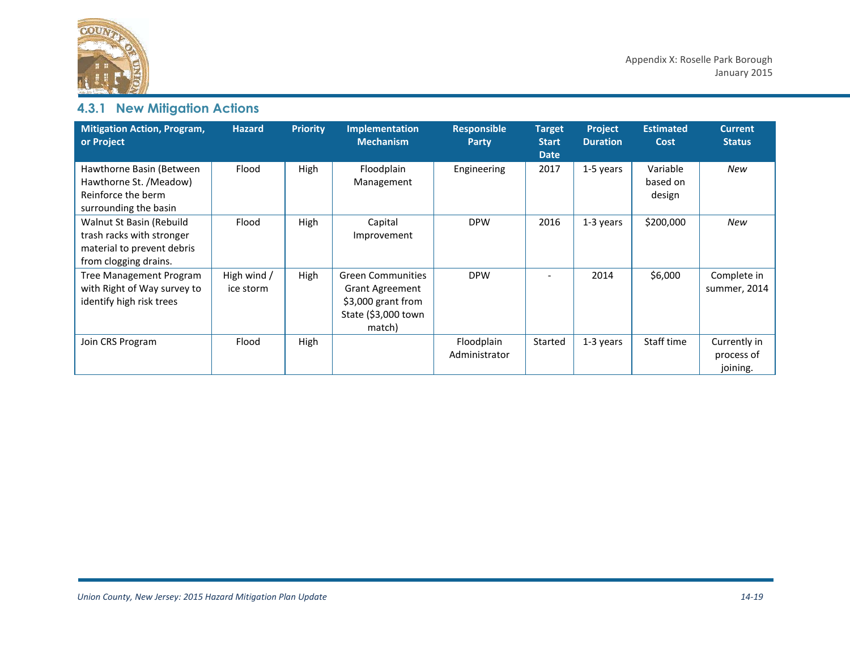

# **4.3.1 New Mitigation Actions**

| <b>Mitigation Action, Program,</b><br>or Project                                                             | <b>Hazard</b>            | <b>Priority</b> | <b>Implementation</b><br><b>Mechanism</b>                                                                 | <b>Responsible</b><br>Party | <b>Target</b><br><b>Start</b><br><b>Date</b> | Project<br><b>Duration</b> | <b>Estimated</b><br>Cost       | <b>Current</b><br><b>Status</b>        |
|--------------------------------------------------------------------------------------------------------------|--------------------------|-----------------|-----------------------------------------------------------------------------------------------------------|-----------------------------|----------------------------------------------|----------------------------|--------------------------------|----------------------------------------|
| Hawthorne Basin (Between<br>Hawthorne St. /Meadow)<br>Reinforce the berm<br>surrounding the basin            | Flood                    | High            | Floodplain<br>Management                                                                                  | Engineering                 | 2017                                         | 1-5 years                  | Variable<br>based on<br>design | New                                    |
| Walnut St Basin (Rebuild<br>trash racks with stronger<br>material to prevent debris<br>from clogging drains. | Flood                    | High            | Capital<br>Improvement                                                                                    | <b>DPW</b>                  | 2016                                         | 1-3 years                  | \$200,000                      | New                                    |
| Tree Management Program<br>with Right of Way survey to<br>identify high risk trees                           | High wind /<br>ice storm | High            | <b>Green Communities</b><br><b>Grant Agreement</b><br>\$3,000 grant from<br>State (\$3,000 town<br>match) | <b>DPW</b>                  |                                              | 2014                       | \$6,000                        | Complete in<br>summer, 2014            |
| Join CRS Program                                                                                             | Flood                    | High            |                                                                                                           | Floodplain<br>Administrator | Started                                      | 1-3 years                  | Staff time                     | Currently in<br>process of<br>joining. |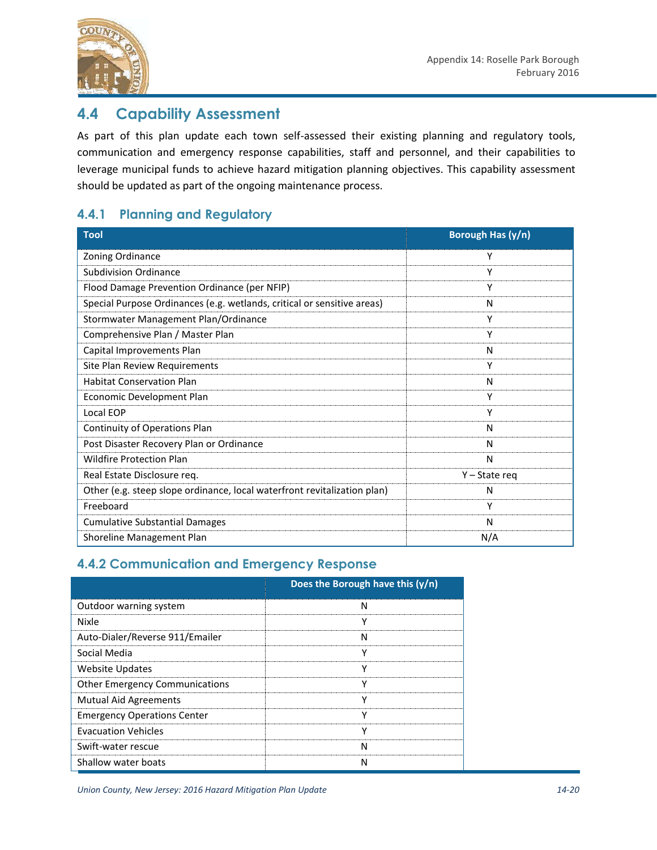

### **4.4 Capability Assessment**

As part of this plan update each town self-assessed their existing planning and regulatory tools, communication and emergency response capabilities, staff and personnel, and their capabilities to leverage municipal funds to achieve hazard mitigation planning objectives. This capability assessment should be updated as part of the ongoing maintenance process.

### **4.4.1 Planning and Regulatory**

| <b>Tool</b>                                                              | Borough Has (y/n) |
|--------------------------------------------------------------------------|-------------------|
| Zoning Ordinance                                                         | Υ                 |
| <b>Subdivision Ordinance</b>                                             | Υ                 |
| Flood Damage Prevention Ordinance (per NFIP)                             | Υ                 |
| Special Purpose Ordinances (e.g. wetlands, critical or sensitive areas)  | N                 |
| Stormwater Management Plan/Ordinance                                     | Υ                 |
| Comprehensive Plan / Master Plan                                         | Υ                 |
| Capital Improvements Plan                                                | N                 |
| Site Plan Review Requirements                                            | Υ                 |
| <b>Habitat Conservation Plan</b>                                         | N                 |
| Economic Development Plan                                                | Υ                 |
| Local EOP                                                                | Υ                 |
| Continuity of Operations Plan                                            | N                 |
| Post Disaster Recovery Plan or Ordinance                                 | N                 |
| <b>Wildfire Protection Plan</b>                                          | N                 |
| Real Estate Disclosure reg.                                              | Y – State reg     |
| Other (e.g. steep slope ordinance, local waterfront revitalization plan) | N                 |
| Freeboard                                                                | Υ                 |
| <b>Cumulative Substantial Damages</b>                                    | N                 |
| Shoreline Management Plan                                                | N/A               |

#### **4.4.2 Communication and Emergency Response**

|                                       | Does the Borough have this $(y/n)$ |
|---------------------------------------|------------------------------------|
| Outdoor warning system                | N                                  |
| <b>Nixle</b>                          |                                    |
| Auto-Dialer/Reverse 911/Emailer       |                                    |
| Social Media                          |                                    |
| Website Updates                       |                                    |
| <b>Other Emergency Communications</b> |                                    |
| <b>Mutual Aid Agreements</b>          |                                    |
| <b>Emergency Operations Center</b>    |                                    |
| <b>Evacuation Vehicles</b>            |                                    |
| Swift-water rescue                    | N                                  |
| Shallow water boats                   |                                    |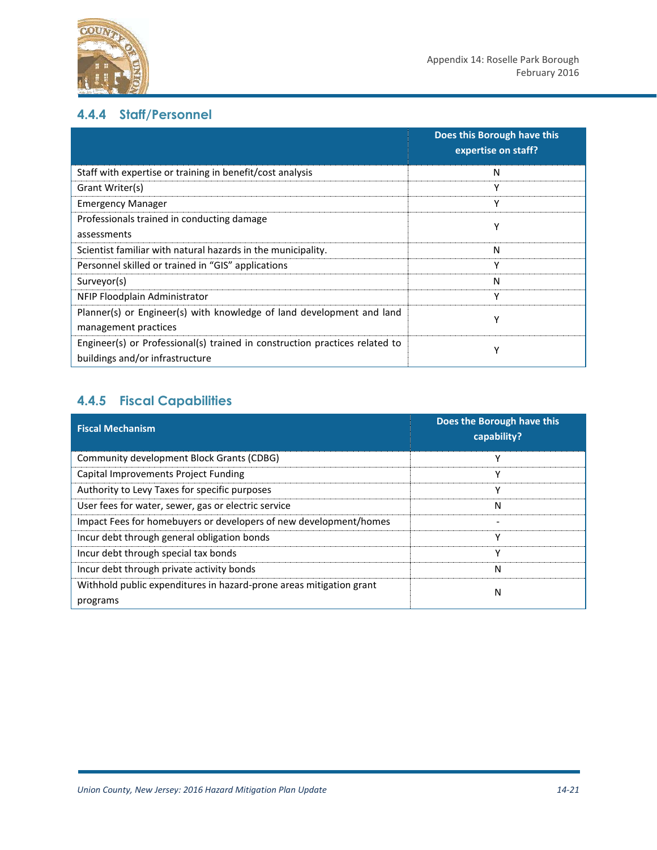

### **4.4.4 Staff/Personnel**

|                                                                                                                | Does this Borough have this<br>expertise on staff? |
|----------------------------------------------------------------------------------------------------------------|----------------------------------------------------|
| Staff with expertise or training in benefit/cost analysis                                                      | Ν                                                  |
| Grant Writer(s)                                                                                                | Υ                                                  |
| <b>Emergency Manager</b>                                                                                       | v                                                  |
| Professionals trained in conducting damage<br>assessments                                                      | Υ                                                  |
| Scientist familiar with natural hazards in the municipality.                                                   | N                                                  |
| Personnel skilled or trained in "GIS" applications                                                             | Υ                                                  |
| Surveyor(s)                                                                                                    | N                                                  |
| NFIP Floodplain Administrator                                                                                  | Y                                                  |
| Planner(s) or Engineer(s) with knowledge of land development and land<br>management practices                  | ν                                                  |
| Engineer(s) or Professional(s) trained in construction practices related to<br>buildings and/or infrastructure | v                                                  |

### **4.4.5 Fiscal Capabilities**

| <b>Fiscal Mechanism</b>                                                         | Does the Borough have this<br>capability? |
|---------------------------------------------------------------------------------|-------------------------------------------|
| Community development Block Grants (CDBG)                                       | ۷                                         |
| Capital Improvements Project Funding                                            | ۷                                         |
| Authority to Levy Taxes for specific purposes                                   | v                                         |
| User fees for water, sewer, gas or electric service                             | N                                         |
| Impact Fees for homebuyers or developers of new development/homes               |                                           |
| Incur debt through general obligation bonds                                     | v                                         |
| Incur debt through special tax bonds                                            | v                                         |
| Incur debt through private activity bonds                                       | N                                         |
| Withhold public expenditures in hazard-prone areas mitigation grant<br>programs | N                                         |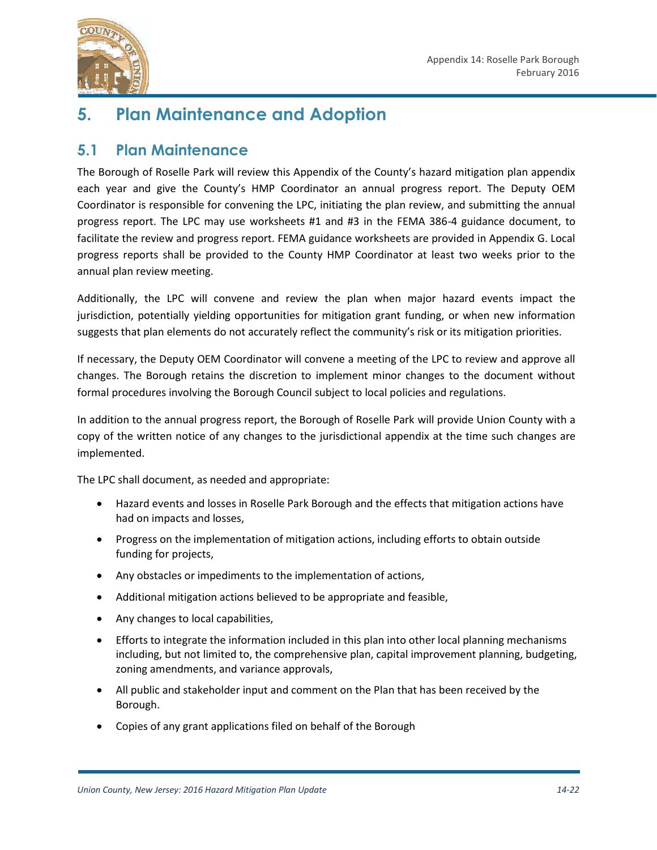

# **5. Plan Maintenance and Adoption**

### **5.1 Plan Maintenance**

The Borough of Roselle Park will review this Appendix of the County's hazard mitigation plan appendix each year and give the County's HMP Coordinator an annual progress report. The Deputy OEM Coordinator is responsible for convening the LPC, initiating the plan review, and submitting the annual progress report. The LPC may use worksheets #1 and #3 in the FEMA 386-4 guidance document, to facilitate the review and progress report. FEMA guidance worksheets are provided in Appendix G. Local progress reports shall be provided to the County HMP Coordinator at least two weeks prior to the annual plan review meeting.

Additionally, the LPC will convene and review the plan when major hazard events impact the jurisdiction, potentially yielding opportunities for mitigation grant funding, or when new information suggests that plan elements do not accurately reflect the community's risk or its mitigation priorities.

If necessary, the Deputy OEM Coordinator will convene a meeting of the LPC to review and approve all changes. The Borough retains the discretion to implement minor changes to the document without formal procedures involving the Borough Council subject to local policies and regulations.

In addition to the annual progress report, the Borough of Roselle Park will provide Union County with a copy of the written notice of any changes to the jurisdictional appendix at the time such changes are implemented.

The LPC shall document, as needed and appropriate:

- Hazard events and losses in Roselle Park Borough and the effects that mitigation actions have had on impacts and losses,
- Progress on the implementation of mitigation actions, including efforts to obtain outside funding for projects,
- Any obstacles or impediments to the implementation of actions,
- Additional mitigation actions believed to be appropriate and feasible,
- Any changes to local capabilities,
- Efforts to integrate the information included in this plan into other local planning mechanisms including, but not limited to, the comprehensive plan, capital improvement planning, budgeting, zoning amendments, and variance approvals,
- All public and stakeholder input and comment on the Plan that has been received by the Borough.
- Copies of any grant applications filed on behalf of the Borough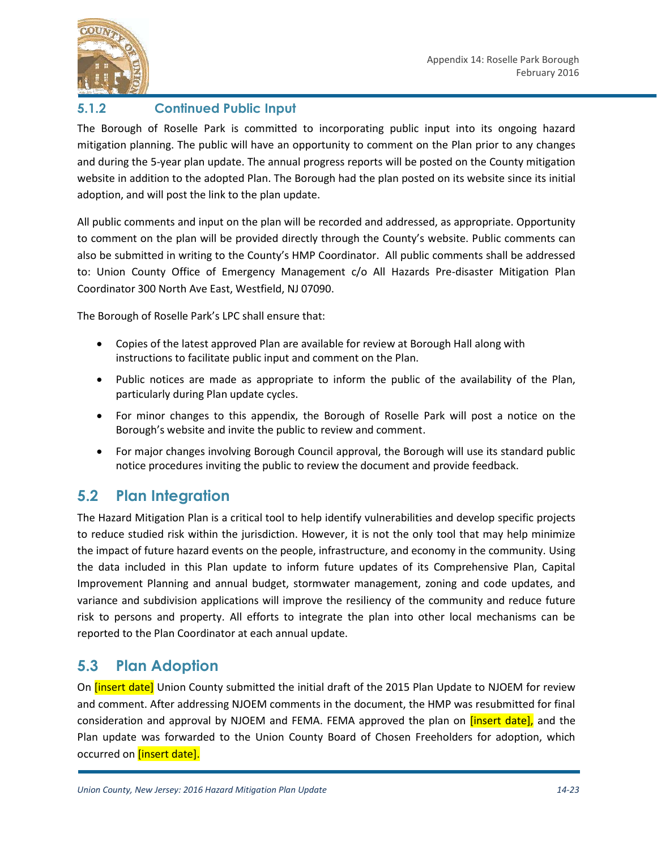

### **5.1.2 Continued Public Input**

The Borough of Roselle Park is committed to incorporating public input into its ongoing hazard mitigation planning. The public will have an opportunity to comment on the Plan prior to any changes and during the 5-year plan update. The annual progress reports will be posted on the County mitigation website in addition to the adopted Plan. The Borough had the plan posted on its website since its initial adoption, and will post the link to the plan update.

All public comments and input on the plan will be recorded and addressed, as appropriate. Opportunity to comment on the plan will be provided directly through the County's website. Public comments can also be submitted in writing to the County's HMP Coordinator. All public comments shall be addressed to: Union County Office of Emergency Management c/o All Hazards Pre-disaster Mitigation Plan Coordinator 300 North Ave East, Westfield, NJ 07090.

The Borough of Roselle Park's LPC shall ensure that:

- Copies of the latest approved Plan are available for review at Borough Hall along with instructions to facilitate public input and comment on the Plan.
- Public notices are made as appropriate to inform the public of the availability of the Plan, particularly during Plan update cycles.
- For minor changes to this appendix, the Borough of Roselle Park will post a notice on the Borough's website and invite the public to review and comment.
- For major changes involving Borough Council approval, the Borough will use its standard public notice procedures inviting the public to review the document and provide feedback.

### **5.2 Plan Integration**

The Hazard Mitigation Plan is a critical tool to help identify vulnerabilities and develop specific projects to reduce studied risk within the jurisdiction. However, it is not the only tool that may help minimize the impact of future hazard events on the people, infrastructure, and economy in the community. Using the data included in this Plan update to inform future updates of its Comprehensive Plan, Capital Improvement Planning and annual budget, stormwater management, zoning and code updates, and variance and subdivision applications will improve the resiliency of the community and reduce future risk to persons and property. All efforts to integrate the plan into other local mechanisms can be reported to the Plan Coordinator at each annual update.

### **5.3 Plan Adoption**

On *[insert date]* Union County submitted the initial draft of the 2015 Plan Update to NJOEM for review and comment. After addressing NJOEM comments in the document, the HMP was resubmitted for final consideration and approval by NJOEM and FEMA. FEMA approved the plan on *[insert date]*, and the Plan update was forwarded to the Union County Board of Chosen Freeholders for adoption, which occurred on **[insert date].**